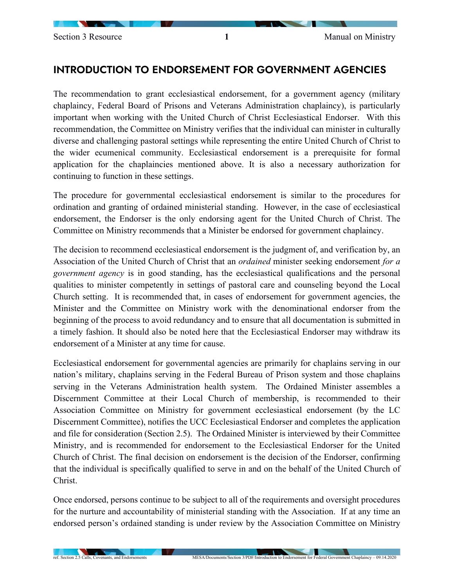## INTRODUCTION TO ENDORSEMENT FOR GOVERNMENT AGENCIES

The recommendation to grant ecclesiastical endorsement, for a government agency (military chaplaincy, Federal Board of Prisons and Veterans Administration chaplaincy), is particularly important when working with the United Church of Christ Ecclesiastical Endorser. With this recommendation, the Committee on Ministry verifies that the individual can minister in culturally diverse and challenging pastoral settings while representing the entire United Church of Christ to the wider ecumenical community. Ecclesiastical endorsement is a prerequisite for formal application for the chaplaincies mentioned above. It is also a necessary authorization for continuing to function in these settings.

The procedure for governmental ecclesiastical endorsement is similar to the procedures for ordination and granting of ordained ministerial standing. However, in the case of ecclesiastical endorsement, the Endorser is the only endorsing agent for the United Church of Christ. The Committee on Ministry recommends that a Minister be endorsed for government chaplaincy.

The decision to recommend ecclesiastical endorsement is the judgment of, and verification by, an Association of the United Church of Christ that an *ordained* minister seeking endorsement *for a government agency* is in good standing, has the ecclesiastical qualifications and the personal qualities to minister competently in settings of pastoral care and counseling beyond the Local Church setting. It is recommended that, in cases of endorsement for government agencies, the Minister and the Committee on Ministry work with the denominational endorser from the beginning of the process to avoid redundancy and to ensure that all documentation is submitted in a timely fashion. It should also be noted here that the Ecclesiastical Endorser may withdraw its endorsement of a Minister at any time for cause.

Ecclesiastical endorsement for governmental agencies are primarily for chaplains serving in our nation's military, chaplains serving in the Federal Bureau of Prison system and those chaplains serving in the Veterans Administration health system. The Ordained Minister assembles a Discernment Committee at their Local Church of membership, is recommended to their Association Committee on Ministry for government ecclesiastical endorsement (by the LC Discernment Committee), notifies the UCC Ecclesiastical Endorser and completes the application and file for consideration (Section 2.5). The Ordained Minister is interviewed by their Committee Ministry, and is recommended for endorsement to the Ecclesiastical Endorser for the United Church of Christ. The final decision on endorsement is the decision of the Endorser, confirming that the individual is specifically qualified to serve in and on the behalf of the United Church of Christ.

Once endorsed, persons continue to be subject to all of the requirements and oversight procedures for the nurture and accountability of ministerial standing with the Association. If at any time an endorsed person's ordained standing is under review by the Association Committee on Ministry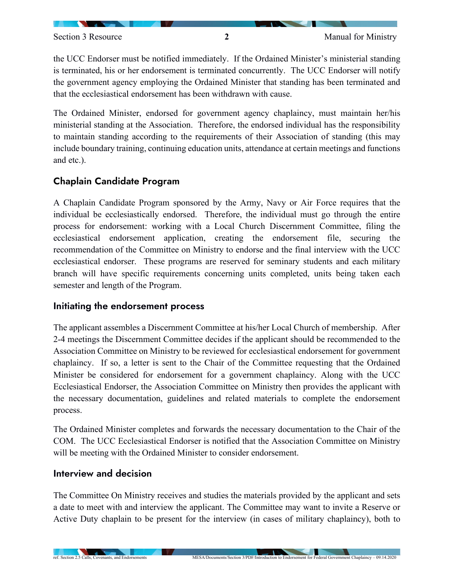the UCC Endorser must be notified immediately. If the Ordained Minister's ministerial standing is terminated, his or her endorsement is terminated concurrently. The UCC Endorser will notify the government agency employing the Ordained Minister that standing has been terminated and that the ecclesiastical endorsement has been withdrawn with cause.

The Ordained Minister, endorsed for government agency chaplaincy, must maintain her/his ministerial standing at the Association. Therefore, the endorsed individual has the responsibility to maintain standing according to the requirements of their Association of standing (this may include boundary training, continuing education units, attendance at certain meetings and functions and etc.).

## Chaplain Candidate Program

A Chaplain Candidate Program sponsored by the Army, Navy or Air Force requires that the individual be ecclesiastically endorsed. Therefore, the individual must go through the entire process for endorsement: working with a Local Church Discernment Committee, filing the ecclesiastical endorsement application, creating the endorsement file, securing the recommendation of the Committee on Ministry to endorse and the final interview with the UCC ecclesiastical endorser. These programs are reserved for seminary students and each military branch will have specific requirements concerning units completed, units being taken each semester and length of the Program.

## Initiating the endorsement process

The applicant assembles a Discernment Committee at his/her Local Church of membership. After 2-4 meetings the Discernment Committee decides if the applicant should be recommended to the Association Committee on Ministry to be reviewed for ecclesiastical endorsement for government chaplaincy. If so, a letter is sent to the Chair of the Committee requesting that the Ordained Minister be considered for endorsement for a government chaplaincy. Along with the UCC Ecclesiastical Endorser, the Association Committee on Ministry then provides the applicant with the necessary documentation, guidelines and related materials to complete the endorsement process.

The Ordained Minister completes and forwards the necessary documentation to the Chair of the COM. The UCC Ecclesiastical Endorser is notified that the Association Committee on Ministry will be meeting with the Ordained Minister to consider endorsement.

## Interview and decision

The Committee On Ministry receives and studies the materials provided by the applicant and sets a date to meet with and interview the applicant. The Committee may want to invite a Reserve or Active Duty chaplain to be present for the interview (in cases of military chaplaincy), both to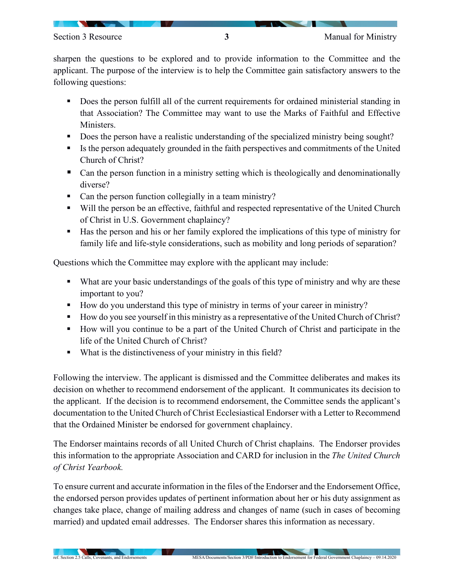sharpen the questions to be explored and to provide information to the Committee and the applicant. The purpose of the interview is to help the Committee gain satisfactory answers to the following questions:

- Does the person fulfill all of the current requirements for ordained ministerial standing in that Association? The Committee may want to use the Marks of Faithful and Effective Ministers.
- Does the person have a realistic understanding of the specialized ministry being sought?
- Is the person adequately grounded in the faith perspectives and commitments of the United Church of Christ?
- Can the person function in a ministry setting which is theologically and denominationally diverse?
- Can the person function collegially in a team ministry?
- Will the person be an effective, faithful and respected representative of the United Church of Christ in U.S. Government chaplaincy?
- Has the person and his or her family explored the implications of this type of ministry for family life and life-style considerations, such as mobility and long periods of separation?

Questions which the Committee may explore with the applicant may include:

- What are your basic understandings of the goals of this type of ministry and why are these important to you?
- How do you understand this type of ministry in terms of your career in ministry?
- How do you see yourself in this ministry as a representative of the United Church of Christ?
- How will you continue to be a part of the United Church of Christ and participate in the life of the United Church of Christ?
- What is the distinctiveness of your ministry in this field?

Following the interview. The applicant is dismissed and the Committee deliberates and makes its decision on whether to recommend endorsement of the applicant. It communicates its decision to the applicant. If the decision is to recommend endorsement, the Committee sends the applicant's documentation to the United Church of Christ Ecclesiastical Endorser with a Letter to Recommend that the Ordained Minister be endorsed for government chaplaincy.

The Endorser maintains records of all United Church of Christ chaplains. The Endorser provides this information to the appropriate Association and CARD for inclusion in the *The United Church of Christ Yearbook.*

To ensure current and accurate information in the files of the Endorser and the Endorsement Office, the endorsed person provides updates of pertinent information about her or his duty assignment as changes take place, change of mailing address and changes of name (such in cases of becoming married) and updated email addresses. The Endorser shares this information as necessary.